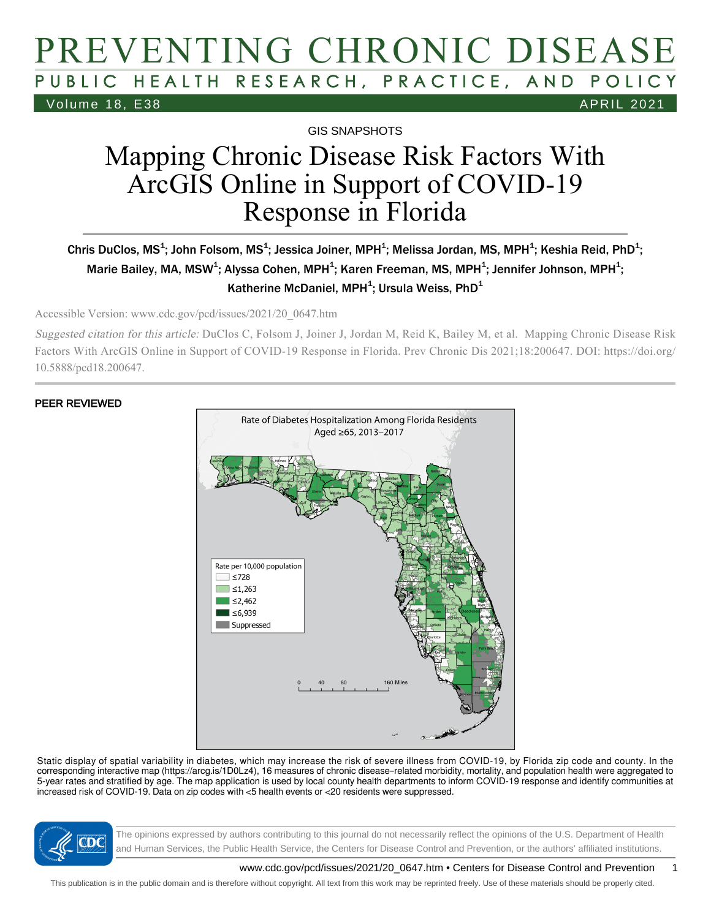## PREVENTING CHRONIC DISEASE PUBLIC HEALTH RESEARCH, PRACTICE, AND POLICY Volume 18, E38 APRIL 2021

GIS SNAPSHOTS

# Mapping Chronic Disease Risk Factors With ArcGIS Online in Support of COVID-19 Response in Florida

#### Chris DuClos, MS $^{\rm 1}$ ; John Folsom, MS $^{\rm 1}$ ; Jessica Joiner, MPH $^{\rm 1}$ ; Melissa Jordan, MS, MPH $^{\rm 1}$ ; Keshia Reid, PhD $^{\rm 1}$ ; Marie Bailey, MA, MSW $^4$ ; Alyssa Cohen, MPH $^4$ ; Karen Freeman, MS, MPH $^4$ ; Jennifer Johnson, MPH $^4$ ; Katherine McDaniel, MPH<sup>1</sup>; Ursula Weiss, PhD<sup>1</sup>

Accessible Version: www.cdc.gov/pcd/issues/2021/20\_0647.htm

Suggested citation for this article: DuClos C, Folsom J, Joiner J, Jordan M, Reid K, Bailey M, et al. Mapping Chronic Disease Risk Factors With ArcGIS Online in Support of COVID-19 Response in Florida. Prev Chronic Dis 2021;18:200647. DOI: https://doi.org/ 10.5888/pcd18.200647.

#### PEER REVIEWED



Static display of spatial variability in diabetes, which may increase the risk of severe illness from COVID-19, by Florida zip code and county. In the corresponding interactive map (https://arcg.is/1D0Lz4), 16 measures of chronic disease–related morbidity, mortality, and population health were aggregated to 5-year rates and stratified by age. The map application is used by local county health departments to inform COVID-19 response and identify communities at increased risk of COVID-19. Data on zip codes with <5 health events or <20 residents were suppressed.



The opinions expressed by authors contributing to this journal do not necessarily reflect the opinions of the U.S. Department of Health and Human Services, the Public Health Service, the Centers for Disease Control and Prevention, or the authors' affiliated institutions.

www.cdc.gov/pcd/issues/2021/20\_0647.htm • Centers for Disease Control and Prevention 1

This publication is in the public domain and is therefore without copyright. All text from this work may be reprinted freely. Use of these materials should be properly cited.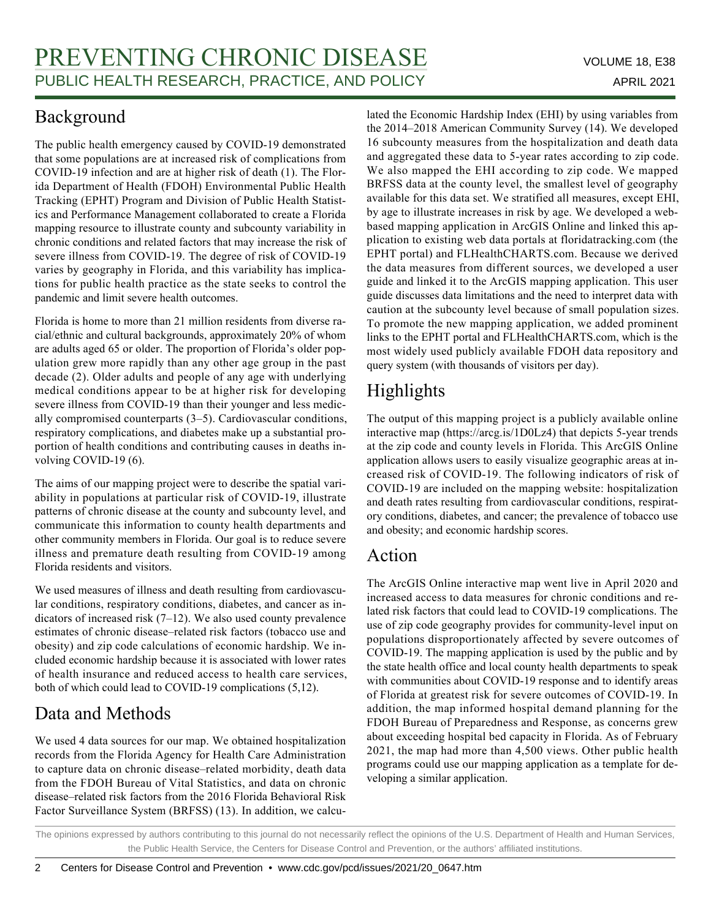## Background

The public health emergency caused by COVID-19 demonstrated that some populations are at increased risk of complications from COVID-19 infection and are at higher risk of death (1). The Florida Department of Health (FDOH) Environmental Public Health Tracking (EPHT) Program and Division of Public Health Statistics and Performance Management collaborated to create a Florida mapping resource to illustrate county and subcounty variability in chronic conditions and related factors that may increase the risk of severe illness from COVID-19. The degree of risk of COVID-19 varies by geography in Florida, and this variability has implications for public health practice as the state seeks to control the pandemic and limit severe health outcomes.

Florida is home to more than 21 million residents from diverse racial/ethnic and cultural backgrounds, approximately 20% of whom are adults aged 65 or older. The proportion of Florida's older population grew more rapidly than any other age group in the past decade (2). Older adults and people of any age with underlying medical conditions appear to be at higher risk for developing severe illness from COVID-19 than their younger and less medically compromised counterparts (3–5). Cardiovascular conditions, respiratory complications, and diabetes make up a substantial proportion of health conditions and contributing causes in deaths involving COVID-19 (6).

The aims of our mapping project were to describe the spatial variability in populations at particular risk of COVID-19, illustrate patterns of chronic disease at the county and subcounty level, and communicate this information to county health departments and other community members in Florida. Our goal is to reduce severe illness and premature death resulting from COVID-19 among Florida residents and visitors.

We used measures of illness and death resulting from cardiovascular conditions, respiratory conditions, diabetes, and cancer as indicators of increased risk (7–12). We also used county prevalence estimates of chronic disease–related risk factors (tobacco use and obesity) and zip code calculations of economic hardship. We included economic hardship because it is associated with lower rates of health insurance and reduced access to health care services, both of which could lead to COVID-19 complications (5,12).

## Data and Methods

We used 4 data sources for our map. We obtained hospitalization records from the Florida Agency for Health Care Administration to capture data on chronic disease–related morbidity, death data from the FDOH Bureau of Vital Statistics, and data on chronic disease–related risk factors from the 2016 Florida Behavioral Risk Factor Surveillance System (BRFSS) (13). In addition, we calculated the Economic Hardship Index (EHI) by using variables from the 2014–2018 American Community Survey (14). We developed 16 subcounty measures from the hospitalization and death data and aggregated these data to 5-year rates according to zip code. We also mapped the EHI according to zip code. We mapped BRFSS data at the county level, the smallest level of geography available for this data set. We stratified all measures, except EHI, by age to illustrate increases in risk by age. We developed a webbased mapping application in ArcGIS Online and linked this application to existing web data portals at floridatracking.com (the EPHT portal) and FLHealthCHARTS.com. Because we derived the data measures from different sources, we developed a user guide and linked it to the ArcGIS mapping application. This user guide discusses data limitations and the need to interpret data with caution at the subcounty level because of small population sizes. To promote the new mapping application, we added prominent links to the EPHT portal and FLHealthCHARTS.com, which is the most widely used publicly available FDOH data repository and query system (with thousands of visitors per day).

## Highlights

The output of this mapping project is a publicly available online interactive map (https://arcg.is/1D0Lz4) that depicts 5-year trends at the zip code and county levels in Florida. This ArcGIS Online application allows users to easily visualize geographic areas at increased risk of COVID-19. The following indicators of risk of COVID-19 are included on the mapping website: hospitalization and death rates resulting from cardiovascular conditions, respiratory conditions, diabetes, and cancer; the prevalence of tobacco use and obesity; and economic hardship scores.

### Action

The ArcGIS Online interactive map went live in April 2020 and increased access to data measures for chronic conditions and related risk factors that could lead to COVID-19 complications. The use of zip code geography provides for community-level input on populations disproportionately affected by severe outcomes of COVID-19. The mapping application is used by the public and by the state health office and local county health departments to speak with communities about COVID-19 response and to identify areas of Florida at greatest risk for severe outcomes of COVID-19. In addition, the map informed hospital demand planning for the FDOH Bureau of Preparedness and Response, as concerns grew about exceeding hospital bed capacity in Florida. As of February 2021, the map had more than 4,500 views. Other public health programs could use our mapping application as a template for developing a similar application.

The opinions expressed by authors contributing to this journal do not necessarily reflect the opinions of the U.S. Department of Health and Human Services, the Public Health Service, the Centers for Disease Control and Prevention, or the authors' affiliated institutions.